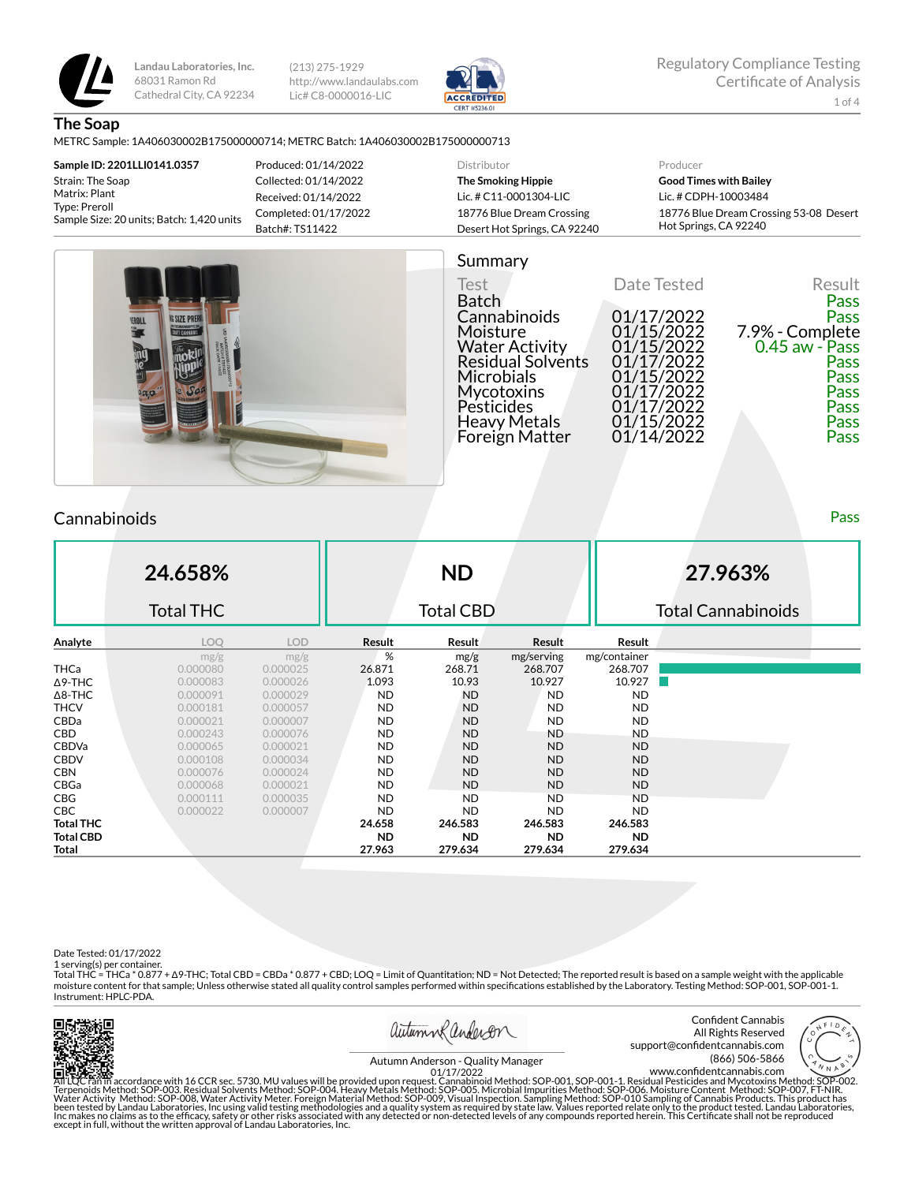

(213) 275-1929 http://www.landaulabs.com Lic# C8-0000016-LIC



**The Soap**

#### METRC Sample: 1A406030002B175000000714; METRC Batch: 1A406030002B175000000713

**Sample ID: 2201LLI0141.0357** Strain: The Soap Matrix: Plant Type: Preroll Sample Size: 20 units; Batch: 1,420 units Produced: 01/14/2022 Collected: 01/14/2022 Received: 01/14/2022 Completed: 01/17/2022 Batch#: TS11422

#### Distributor **The Smoking Hippie** Lic. # C11-0001304-LIC 18776 Blue Dream Crossing Desert Hot Springs, CA 92240 Producer **Good Times with Bailey** Lic. # CDPH-10003484 18776 Blue Dream Crossing 53-08 Desert Hot Springs, CA 92240



# Summary

Test Date Tested Result Batch Pass Batch<br>
Cannabinoids 01/17/2022 Pass<br>
Moisture 01/15/2022 7.9% - Complete<br>
Water Activity 01/15/2022 0.45 aw - Pass<br>
Residual Solvents 01/17/2022  $7.9%$  - Complete<br>0.45 aw - Pass Water Activity 01/15/2022 0.45 aw - Pass Residual Solvents 01/17/2022 Pass Microbials 01/15/2022 Pass Mycotoxins 01/17/2022 Pass Pesticides 01/17/2022 Pass Heavy Metals 01/15/2022 Pass Foreign Matter

## **Cannabinoids** Pass **Pass Pass Pass Pass Pass Pass Pass Pass Pass Pass**

**24.658%** Total THC **ND** Total CBD **27.963%** Total Cannabinoids **Analyte LOQ LOD Result Result Result Result** mg/g mg/g  $mg/g$  mg/serving mg/container<br>0.000080 0.000025 26.871 268.71 268.707 268.707 **THCa** 0.000080 0.000025 **26.871 268.707 268.707 268.707** Δ9-THC 0.000083 0.000026 1.093 10.93 10.927 10.927 Δ8-THC 0.000091 0.000029 ND ND ND ND THCV 0.000181 0.000057 ND ND ND ND CBDa 0.000021 0.000007 ND ND ND ND CBD 0.000243 0.000076 ND ND ND ND CBDVa 0.000065 0.000021 ND ND ND ND CBDV 0.000108 0.000034 ND ND ND ND CBN 0.000076 0.000024 ND ND ND ND CBGa 0.000068 0.000021 ND ND ND ND CBG 0.000111 0.000035 ND ND ND ND CBC 0.000022 0.000007 ND ND ND ND **Total THC 24.658 246.583 246.583 246.583 Total CBD ND ND ND ND Total 27.963 279.634 279.634 279.634**

Date Tested: 01/17/2022

1 serving(s) per container.

Total THC = THCa \* 0.877 + ∆9-THC; Total CBD = CBDa \* 0.877 + CBD; LOQ = Limit of Quantitation; ND = Not Detected; The reported result is based on a sample weight with the applicable moisture content for that sample; Unless otherwise stated all quality control samples performed within specifications established by the Laboratory. Testing Method: SOP-001, SOP-001-1. Instrument: HPLC-PDA.





Confident Cannabis All Rights Reserved support@confidentcannabis.com (866) 506-5866



Autumn Anderson - Quality Manager<br>01/17/2022

All'LQC ran in accordance with 16 CCR sec. 5730. MU values will be provided upon request. Cannabinoid Method: SOP-001, SOP-001-1. Residual Pesticides and Mycotoxins Method: SOP-002.<br>Terpenoids Method: SOP-003. Residual Sol 01/17/2022 www.confidentcannabis.com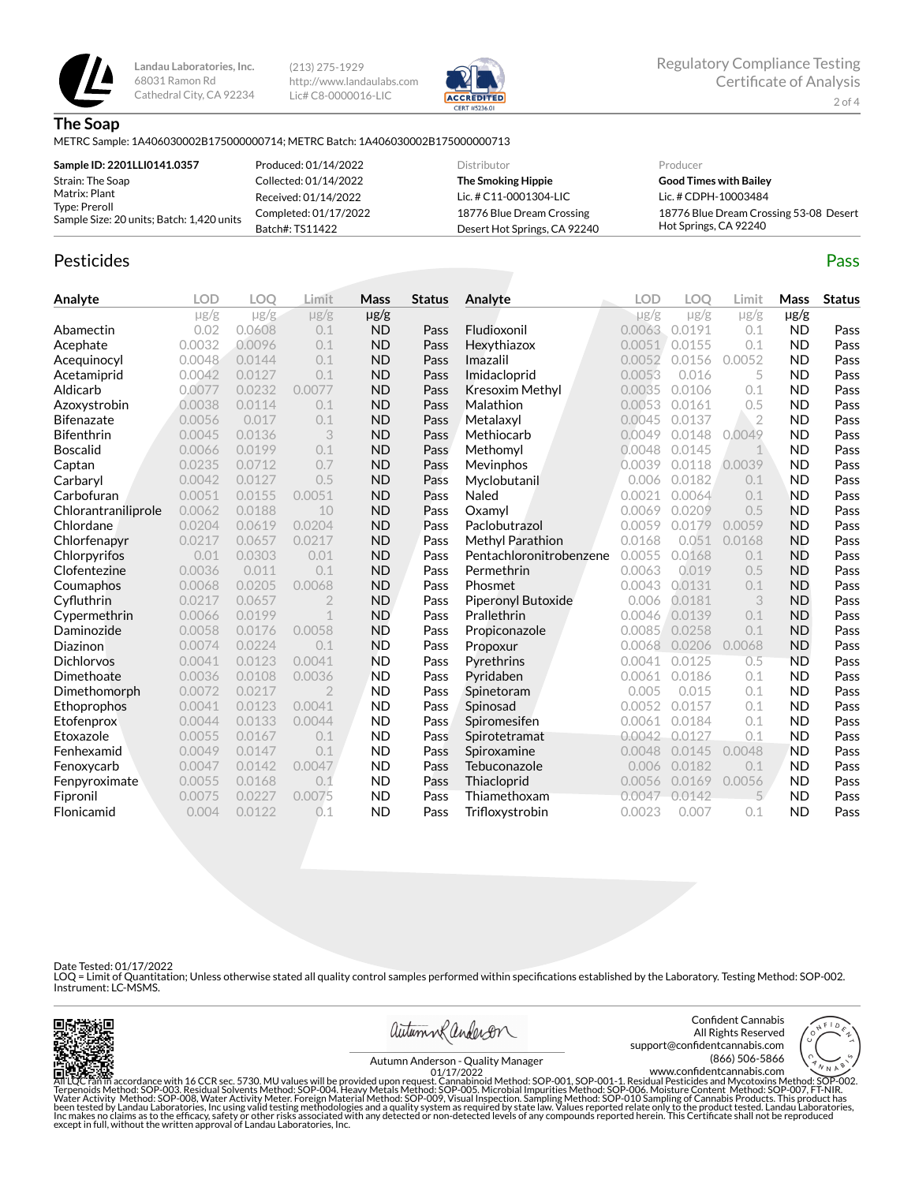

(213) 275-1929 http://www.landaulabs.com Lic# C8-0000016-LIC



**The Soap**

METRC Sample: 1A406030002B175000000714; METRC Batch: 1A406030002B175000000713

| Sample ID: 2201LLI0141.0357                                                 | Produced: 01/14/2022  | Distributor                  | Producer                               |
|-----------------------------------------------------------------------------|-----------------------|------------------------------|----------------------------------------|
| Strain: The Soap                                                            | Collected: 01/14/2022 | The Smoking Hippie           | <b>Good Times with Bailey</b>          |
| Matrix: Plant<br>Type: Preroll<br>Sample Size: 20 units; Batch: 1,420 units | Received: 01/14/2022  | Lic. # C11-0001304-LIC       | Lic. # CDPH-10003484                   |
|                                                                             | Completed: 01/17/2022 | 18776 Blue Dream Crossing    | 18776 Blue Dream Crossing 53-08 Desert |
|                                                                             | Batch#: TS11422       | Desert Hot Springs, CA 92240 | Hot Springs, CA 92240                  |

## Pesticides **Passage Contract Contract Contract Contract Contract Contract Contract Contract Contract Contract Contract Contract Contract Contract Contract Contract Contract Contract Contract Contract Contract Contract Cont**

**Analyte LOD LOQ Limit Mass Status**  $\mu$ g/g  $\mu$ g/g  $\mu$ g/g  $\mu$ g/g Abamectin 0.02 0.0608 0.1 ND Pass Acephate 0.0032 0.0096 0.1 ND Pass Acequinocyl 0.0048 0.0144 0.1 ND Pass Acetamiprid 0.0042 0.0127 0.1 ND Pass Aldicarb 0.0077 0.0232 0.0077 ND Pass Azoxystrobin 0.0038 0.0114 0.1 ND Pass **Bifenazate** 0.0056 0.017 0.1 **ND Pass** Bifenthrin 0.0045 0.0136 3 ND Pass Boscalid 0.0066 0.0199 0.1 ND Pass **Captan 19 0.0235 0.0712 0.7 ND Pass** Carbaryl 0.0042 0.0127 0.5 ND Pass **Carbofuran 1888** 0.0051 0.0155 0.0051 **ND Pass**<br> **Chlorantraniliprole** 0.0062 0.0188 10 **ND Pass** Chlorantraniliprole 0.0062 0.0188 10 ND Pass Chlordane 0.0204 0.0619 0.0204 ND Pass Chlorfenapyr 0.0217 0.0657 0.0217 ND Pass Chlorpyrifos 0.01 0.0303 0.01 ND Pass **Clofentezine** 0.0036 0.011 0.1 **ND Pass** Coumaphos 0.0068 0.0205 0.0068 ND Pass CyØuthrin 0.0217 0.0657 2 ND Pass Cypermethrin 0.0066 0.0199 1 ND Pass Daminozide 0.0058 0.0176 0.0058 ND Pass Diazinon 0.0074 0.0224 0.1 ND Pass Dichlorvos 0.0041 0.0123 0.0041 ND Pass Dimethoate 0.0036 0.0108 0.0036 ND Pass **Dimethomorph** 0.0072 0.0217 2 **ND Pass** Ethoprophos 0.0041 0.0123 0.0041 ND Pass Etofenprox 0.0044 0.0133 0.0044 ND Pass **Etoxazole** 0.0055 0.0167 0.1 **ND Pass**<br> **Fenhexamid** 0.0049 0.0147 0.1 **ND Pass Fenhexamid** 0.0049 0.0147 0.1 **ND Pass** Fenoxycarb 0.0047 0.0142 0.0047 ND Pass Fenpyroximate 0.0055 0.0168 0.1 ND Pass Fipronil 0.0075 0.0227 0.0075 ND Pass Flonicamid 0.004 0.0122 0.1 ND Pass **Analyte LOD LOQ Limit Mass Status**  $\mu$ g/g  $\mu$ g/g  $\mu$ g/g  $\mu$ g/g Fludioxonil 0.0063 0.0191 0.1 ND Pass Hexythiazox 0.0051 0.0155 0.1 ND Pass **Imazalil 1988** 0.0052 0.0156 0.0052 **ND Pass Imidacloprid** 0.0053 0.016 5 **ND Pass Kresoxim Methyl** 0.0035 0.0106 0.1 **ND Pass Malathion** 0.0053 0.0161 0.5 **ND Pass Metalaxyl 0.0045 0.0137 2 ND Pass** Methiocarb 0.0049 0.0148 0.0049 ND Pass **Methomyl** 0.0048 0.0145 1 **ND Pass** Mevinphos 0.0039 0.0118 0.0039 ND Pass Myclobutanil 0.006 0.0182 0.1 ND Pass Naled 0.0021 0.0064 0.1 ND Pass **Oxamyl** 0.0069 0.0209 0.5 **ND Pass** Paclobutrazol 0.0059 0.0179 0.0059 ND Pass **Methyl Parathion** 0.0168 0.051 0.0168 **ND Pass** Pentachloronitrobenzene 0.0055 0.0168 0.1 ND Pass **Permethrin 1992 0.0063 0.019 0.5 ND Pass** Phosmet 0.0043 0.0131 0.1 ND Pass Piperonyl Butoxide 0.006 0.0181 3 ND Pass **Prallethrin 0.0046 0.0139 0.1 ND Pass** Propiconazole 0.0085 0.0258 0.1 ND Pass Propoxur 0.0068 0.0206 0.0068 ND Pass **Pyrethrins** 0.0041 0.0125 0.5 **ND Pass** Pyridaben 0.0061 0.0186 0.1 ND Pass **Spinetoram 0.005 0.015 0.1 ND Pass** Spinosad 0.0052 0.0157 0.1 ND Pass **Spiromesifen** 0.0061 0.0184 0.1 **ND Pass** Spirotetramat 0.0042 0.0127 0.1 ND Pass **Spiroxamine** 0.0048 0.0145 0.0048 **ND Pass** Tebuconazole 0.006 0.0182 0.1 ND Pass **Thiacloprid** 0.0056 0.0169 0.0056 ND Pass Thiamethoxam 0.0047 0.0142 5 ND Pass Trifloxystrobin 0.0023 0.007 0.1 ND Pass

Date Tested: 01/17/2022

LOQ = Limit of Quantitation; Unless otherwise stated all quality control samples performed within specifications established by the Laboratory. Testing Method: SOP-002. Instrument: LC-MSMS.





Confident Cannabis All Rights Reserved support@confidentcannabis.com (866) 506-5866



Autumn Anderson - Quality Manager 01/17/2022

All'LOC Fan'in accordance with 16 CCR sec. 5730. MU values will be provided upon request. Cannabinoid Method: SOP-001, SOP-001-1. Residual Pesticides and Mycotoxins Method: SOP-002.<br>Terpenoids Method: SOP-003. Residual Sol except in full, without the written approval of Landau Laboratories, Inc. www.confidentcannabis.com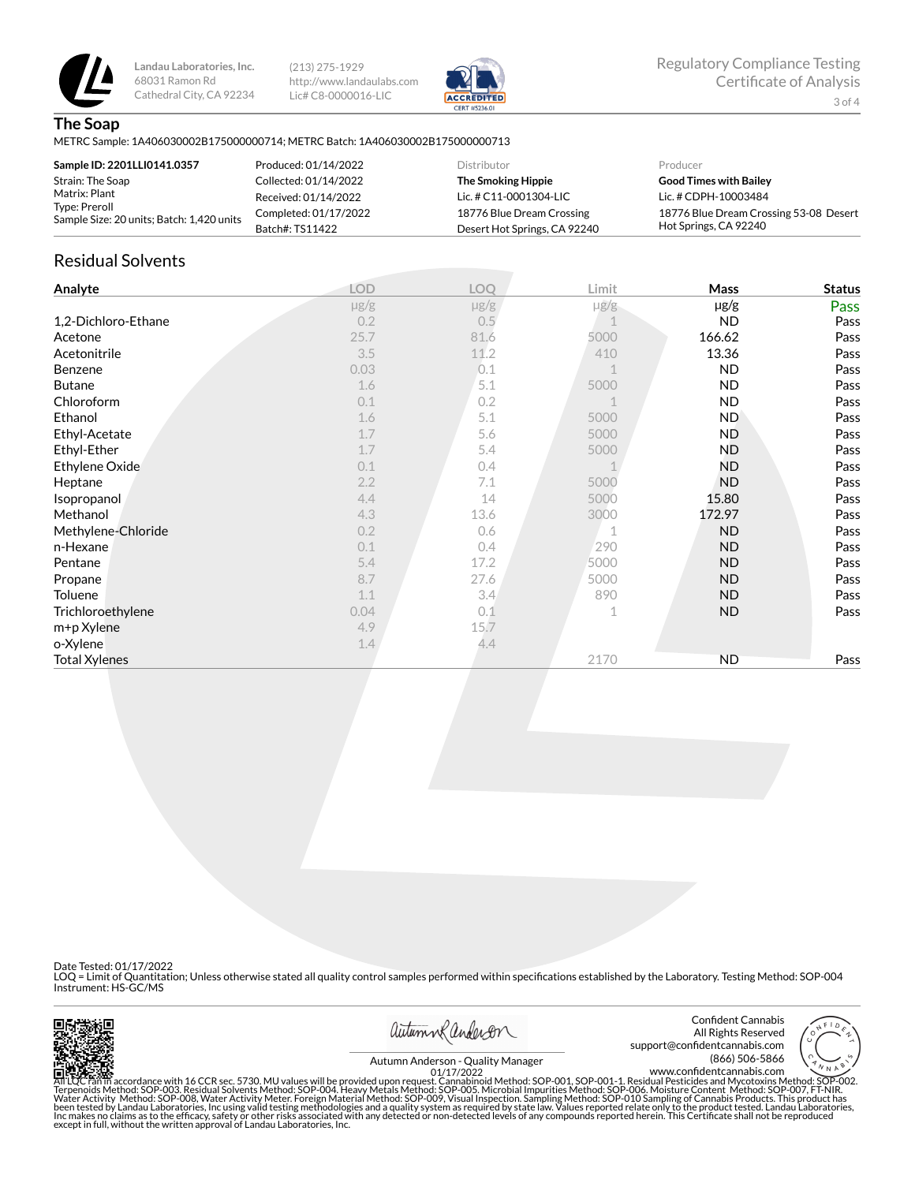

(213) 275-1929 http://www.landaulabs.com Lic# C8-0000016-LIC



#### **The Soap**

METRC Sample: 1A406030002B175000000714; METRC Batch: 1A406030002B175000000713

| Sample ID: 2201LLI0141.0357                                                 | Produced: 01/14/2022  | Distributor                  | Producer                               |
|-----------------------------------------------------------------------------|-----------------------|------------------------------|----------------------------------------|
| Strain: The Soap                                                            | Collected: 01/14/2022 | The Smoking Hippie           | <b>Good Times with Bailey</b>          |
| Matrix: Plant<br>Type: Preroll<br>Sample Size: 20 units; Batch: 1,420 units | Received: 01/14/2022  | Lic. # $C11-0001304-LIC$     | Lic. # CDPH-10003484                   |
|                                                                             | Completed: 01/17/2022 | 18776 Blue Dream Crossing    | 18776 Blue Dream Crossing 53-08 Desert |
|                                                                             | Batch#: TS11422       | Desert Hot Springs, CA 92240 | Hot Springs, CA 92240                  |

## Residual Solvents

| Analyte              | <b>LOD</b> | LOQ       | Limit     | Mass      | <b>Status</b> |
|----------------------|------------|-----------|-----------|-----------|---------------|
|                      | $\mu$ g/g  | $\mu$ g/g | $\mu$ g/g | µg/g      | Pass          |
| 1,2-Dichloro-Ethane  | 0.2        | 0.5       |           | <b>ND</b> | Pass          |
| Acetone              | 25.7       | 81.6      | 5000      | 166.62    | Pass          |
| Acetonitrile         | 3.5        | 11.2      | 410       | 13.36     | Pass          |
| Benzene              | 0.03       | 0.1       |           | <b>ND</b> | Pass          |
| <b>Butane</b>        | 1.6        | 5.1       | 5000      | <b>ND</b> | Pass          |
| Chloroform           | 0.1        | 0.2       |           | <b>ND</b> | Pass          |
| Ethanol              | 1.6        | 5.1       | 5000      | <b>ND</b> | Pass          |
| Ethyl-Acetate        | 1.7        | 5.6       | 5000      | ND.       | Pass          |
| Ethyl-Ether          | 1.7        | 5.4       | 5000      | <b>ND</b> | Pass          |
| Ethylene Oxide       | 0.1        | 0.4       |           | ND.       | Pass          |
| Heptane              | 2.2        | 7.1       | 5000      | ND.       | Pass          |
| Isopropanol          | 4.4        | 14        | 5000      | 15.80     | Pass          |
| Methanol             | 4.3        | 13.6      | 3000      | 172.97    | Pass          |
| Methylene-Chloride   | 0.2        | 0.6       |           | <b>ND</b> | Pass          |
| n-Hexane             | 0.1        | 0.4       | 290       | <b>ND</b> | Pass          |
| Pentane              | 5.4        | 17.2      | 5000      | <b>ND</b> | Pass          |
| Propane              | 8.7        | 27.6      | 5000      | <b>ND</b> | Pass          |
| Toluene              | 1.1        | 3.4       | 890       | ND.       | Pass          |
| Trichloroethylene    | 0.04       | 0.1       |           | <b>ND</b> | Pass          |
| m+p Xylene           | 4.9        | 15.7      |           |           |               |
| o-Xylene             | 1.4        | 4.4       |           |           |               |
| <b>Total Xylenes</b> |            |           | 2170      | <b>ND</b> | Pass          |

Date Tested: 01/17/2022

LOQ = Limit of Quantitation; Unless otherwise stated all quality control samples performed within specifications established by the Laboratory. Testing Method: SOP-004<br>Instrument: HS-GC/MS



autumn Randeron

Confident Cannabis All Rights Reserved support@confidentcannabis.com<br>666-5866 (866) 506-5866 (866) 506-5866



www.con×dentcannabis.com Autumn Anderson - Quality Manager 01/17/2022

All'LQC ran in accordance with 16 CCR sec. 5730. MU values will be provided upon request. Cannabinoid Method: SOP-001, SOP-001-1. Residual Pesticides and Mycotoxins Method: SOP-002.<br>Terpenoids Method: SOP-003. Residual Sol